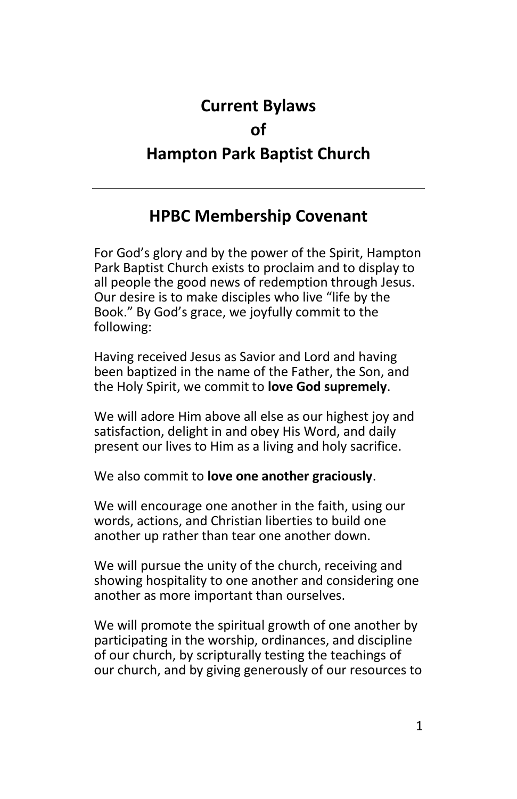# **Current Bylaws of Hampton Park Baptist Church**

# **HPBC Membership Covenant**

For God's glory and by the power of the Spirit, Hampton Park Baptist Church exists to proclaim and to display to all people the good news of redemption through Jesus. Our desire is to make disciples who live "life by the Book." By God's grace, we joyfully commit to the following:

Having received Jesus as Savior and Lord and having been baptized in the name of the Father, the Son, and the Holy Spirit, we commit to **love God supremely**.

We will adore Him above all else as our highest joy and satisfaction, delight in and obey His Word, and daily present our lives to Him as a living and holy sacrifice.

We also commit to **love one another graciously**.

We will encourage one another in the faith, using our words, actions, and Christian liberties to build one another up rather than tear one another down.

We will pursue the unity of the church, receiving and showing hospitality to one another and considering one another as more important than ourselves.

We will promote the spiritual growth of one another by participating in the worship, ordinances, and discipline of our church, by scripturally testing the teachings of our church, and by giving generously of our resources to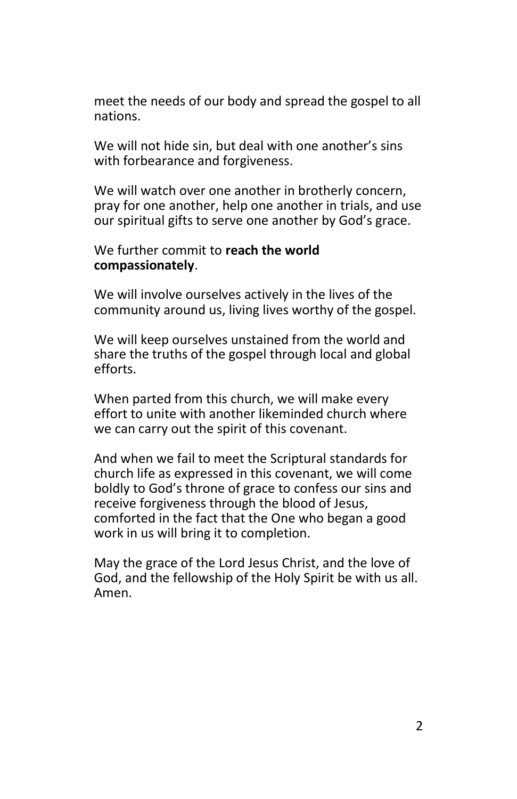meet the needs of our body and spread the gospel to all nations.

We will not hide sin, but deal with one another's sins with forbearance and forgiveness.

We will watch over one another in brotherly concern, pray for one another, help one another in trials, and use our spiritual gifts to serve one another by God's grace.

#### We further commit to **reach the world compassionately**.

We will involve ourselves actively in the lives of the community around us, living lives worthy of the gospel.

We will keep ourselves unstained from the world and share the truths of the gospel through local and global efforts.

When parted from this church, we will make every effort to unite with another likeminded church where we can carry out the spirit of this covenant.

And when we fail to meet the Scriptural standards for church life as expressed in this covenant, we will come boldly to God's throne of grace to confess our sins and receive forgiveness through the blood of Jesus, comforted in the fact that the One who began a good work in us will bring it to completion.

May the grace of the Lord Jesus Christ, and the love of God, and the fellowship of the Holy Spirit be with us all. Amen.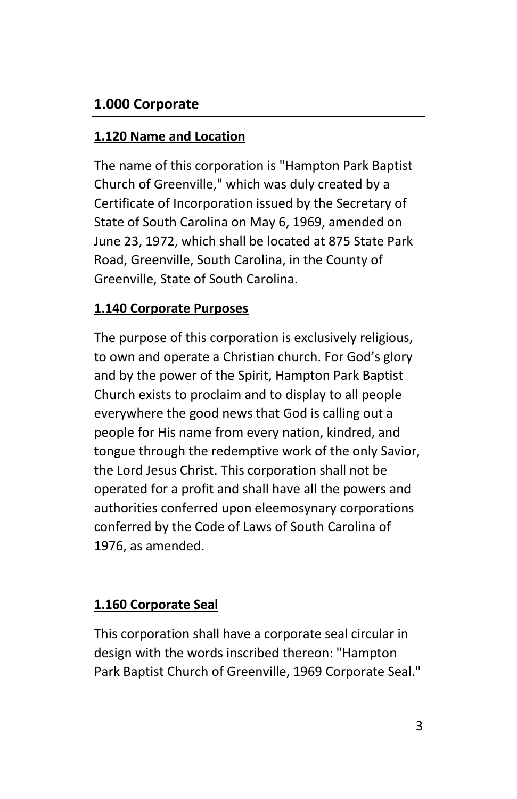# **1.000 Corporate**

#### **1.120 Name and Location**

The name of this corporation is "Hampton Park Baptist Church of Greenville," which was duly created by a Certificate of Incorporation issued by the Secretary of State of South Carolina on May 6, 1969, amended on June 23, 1972, which shall be located at 875 State Park Road, Greenville, South Carolina, in the County of Greenville, State of South Carolina.

#### **1.140 Corporate Purposes**

The purpose of this corporation is exclusively religious, to own and operate a Christian church. For God's glory and by the power of the Spirit, Hampton Park Baptist Church exists to proclaim and to display to all people everywhere the good news that God is calling out a people for His name from every nation, kindred, and tongue through the redemptive work of the only Savior, the Lord Jesus Christ. This corporation shall not be operated for a profit and shall have all the powers and authorities conferred upon eleemosynary corporations conferred by the Code of Laws of South Carolina of 1976, as amended.

### **1.160 Corporate Seal**

This corporation shall have a corporate seal circular in design with the words inscribed thereon: "Hampton Park Baptist Church of Greenville, 1969 Corporate Seal."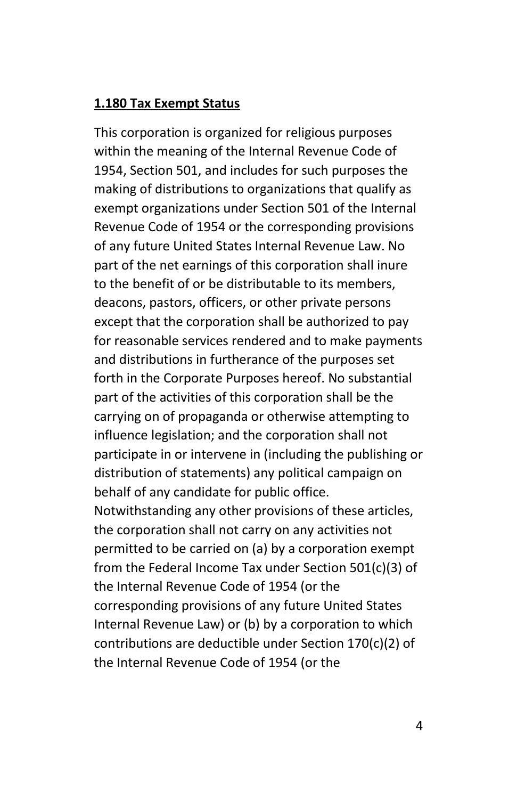#### **1.180 Tax Exempt Status**

This corporation is organized for religious purposes within the meaning of the Internal Revenue Code of 1954, Section 501, and includes for such purposes the making of distributions to organizations that qualify as exempt organizations under Section 501 of the Internal Revenue Code of 1954 or the corresponding provisions of any future United States Internal Revenue Law. No part of the net earnings of this corporation shall inure to the benefit of or be distributable to its members, deacons, pastors, officers, or other private persons except that the corporation shall be authorized to pay for reasonable services rendered and to make payments and distributions in furtherance of the purposes set forth in the Corporate Purposes hereof. No substantial part of the activities of this corporation shall be the carrying on of propaganda or otherwise attempting to influence legislation; and the corporation shall not participate in or intervene in (including the publishing or distribution of statements) any political campaign on behalf of any candidate for public office. Notwithstanding any other provisions of these articles, the corporation shall not carry on any activities not permitted to be carried on (a) by a corporation exempt from the Federal Income Tax under Section 501(c)(3) of the Internal Revenue Code of 1954 (or the corresponding provisions of any future United States Internal Revenue Law) or (b) by a corporation to which contributions are deductible under Section 170(c)(2) of the Internal Revenue Code of 1954 (or the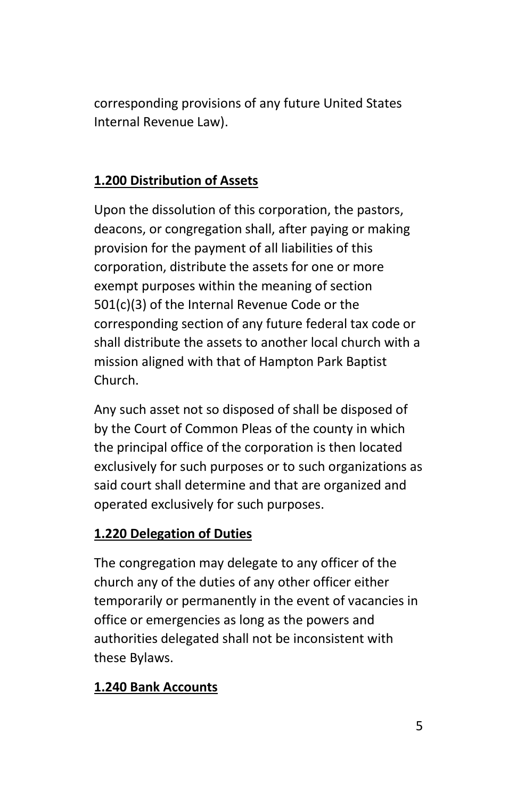corresponding provisions of any future United States Internal Revenue Law).

### **1.200 Distribution of Assets**

Upon the dissolution of this corporation, the pastors, deacons, or congregation shall, after paying or making provision for the payment of all liabilities of this corporation, distribute the assets for one or more exempt purposes within the meaning of section 501(c)(3) of the Internal Revenue Code or the corresponding section of any future federal tax code or shall distribute the assets to another local church with a mission aligned with that of Hampton Park Baptist Church.

Any such asset not so disposed of shall be disposed of by the Court of Common Pleas of the county in which the principal office of the corporation is then located exclusively for such purposes or to such organizations as said court shall determine and that are organized and operated exclusively for such purposes.

#### **1.220 Delegation of Duties**

The congregation may delegate to any officer of the church any of the duties of any other officer either temporarily or permanently in the event of vacancies in office or emergencies as long as the powers and authorities delegated shall not be inconsistent with these Bylaws.

#### **1.240 Bank Accounts**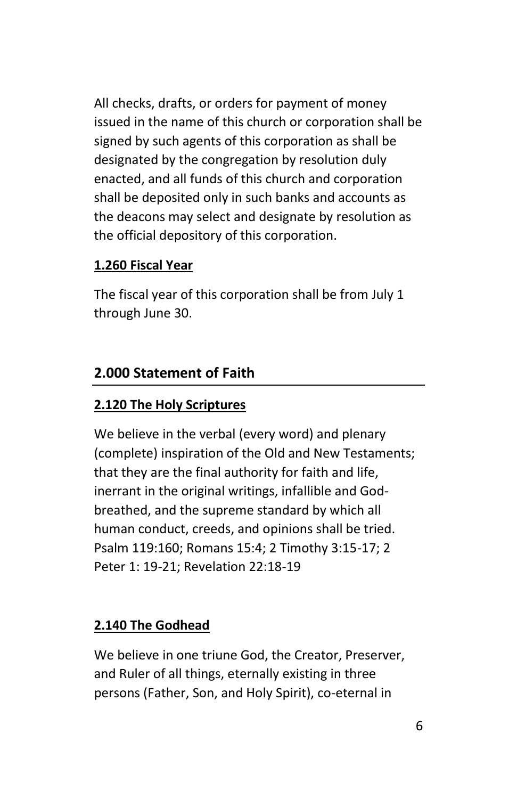All checks, drafts, or orders for payment of money issued in the name of this church or corporation shall be signed by such agents of this corporation as shall be designated by the congregation by resolution duly enacted, and all funds of this church and corporation shall be deposited only in such banks and accounts as the deacons may select and designate by resolution as the official depository of this corporation.

#### **1.260 Fiscal Year**

The fiscal year of this corporation shall be from July 1 through June 30.

### **2.000 Statement of Faith**

### **2.120 The Holy Scriptures**

We believe in the verbal (every word) and plenary (complete) inspiration of the Old and New Testaments; that they are the final authority for faith and life, inerrant in the original writings, infallible and Godbreathed, and the supreme standard by which all human conduct, creeds, and opinions shall be tried. Psalm 119:160; Romans 15:4; 2 Timothy 3:15-17; 2 Peter 1: 19-21; Revelation 22:18-19

#### **2.140 The Godhead**

We believe in one triune God, the Creator, Preserver, and Ruler of all things, eternally existing in three persons (Father, Son, and Holy Spirit), co-eternal in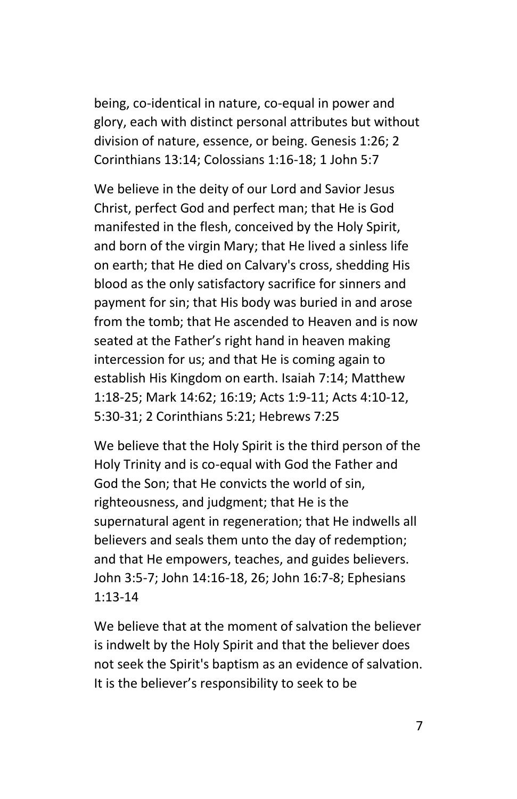being, co-identical in nature, co-equal in power and glory, each with distinct personal attributes but without division of nature, essence, or being. Genesis 1:26; 2 Corinthians 13:14; Colossians 1:16-18; 1 John 5:7

We believe in the deity of our Lord and Savior Jesus Christ, perfect God and perfect man; that He is God manifested in the flesh, conceived by the Holy Spirit, and born of the virgin Mary; that He lived a sinless life on earth; that He died on Calvary's cross, shedding His blood as the only satisfactory sacrifice for sinners and payment for sin; that His body was buried in and arose from the tomb; that He ascended to Heaven and is now seated at the Father's right hand in heaven making intercession for us; and that He is coming again to establish His Kingdom on earth. Isaiah 7:14; Matthew 1:18-25; Mark 14:62; 16:19; Acts 1:9-11; Acts 4:10-12, 5:30-31; 2 Corinthians 5:21; Hebrews 7:25

We believe that the Holy Spirit is the third person of the Holy Trinity and is co-equal with God the Father and God the Son; that He convicts the world of sin, righteousness, and judgment; that He is the supernatural agent in regeneration; that He indwells all believers and seals them unto the day of redemption; and that He empowers, teaches, and guides believers. John 3:5-7; John 14:16-18, 26; John 16:7-8; Ephesians 1:13-14

We believe that at the moment of salvation the believer is indwelt by the Holy Spirit and that the believer does not seek the Spirit's baptism as an evidence of salvation. It is the believer's responsibility to seek to be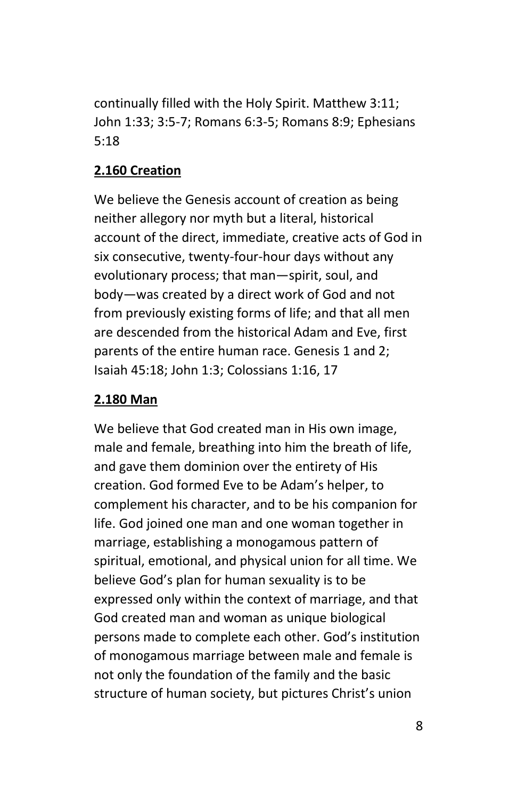continually filled with the Holy Spirit. Matthew 3:11; John 1:33; 3:5-7; Romans 6:3-5; Romans 8:9; Ephesians 5:18

#### **2.160 Creation**

We believe the Genesis account of creation as being neither allegory nor myth but a literal, historical account of the direct, immediate, creative acts of God in six consecutive, twenty-four-hour days without any evolutionary process; that man—spirit, soul, and body—was created by a direct work of God and not from previously existing forms of life; and that all men are descended from the historical Adam and Eve, first parents of the entire human race. Genesis 1 and 2; Isaiah 45:18; John 1:3; Colossians 1:16, 17

#### **2.180 Man**

We believe that God created man in His own image, male and female, breathing into him the breath of life, and gave them dominion over the entirety of His creation. God formed Eve to be Adam's helper, to complement his character, and to be his companion for life. God joined one man and one woman together in marriage, establishing a monogamous pattern of spiritual, emotional, and physical union for all time. We believe God's plan for human sexuality is to be expressed only within the context of marriage, and that God created man and woman as unique biological persons made to complete each other. God's institution of monogamous marriage between male and female is not only the foundation of the family and the basic structure of human society, but pictures Christ's union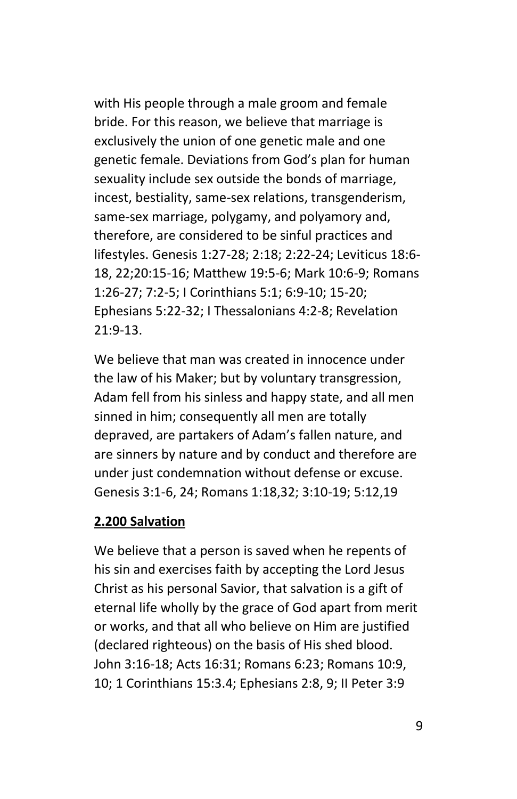with His people through a male groom and female bride. For this reason, we believe that marriage is exclusively the union of one genetic male and one genetic female. Deviations from God's plan for human sexuality include sex outside the bonds of marriage, incest, bestiality, same-sex relations, transgenderism, same-sex marriage, polygamy, and polyamory and, therefore, are considered to be sinful practices and lifestyles. Genesis 1:27-28; 2:18; 2:22-24; Leviticus 18:6- 18, 22;20:15-16; Matthew 19:5-6; Mark 10:6-9; Romans 1:26-27; 7:2-5; I Corinthians 5:1; 6:9-10; 15-20; Ephesians 5:22-32; I Thessalonians 4:2-8; Revelation 21:9-13.

We believe that man was created in innocence under the law of his Maker; but by voluntary transgression, Adam fell from his sinless and happy state, and all men sinned in him; consequently all men are totally depraved, are partakers of Adam's fallen nature, and are sinners by nature and by conduct and therefore are under just condemnation without defense or excuse. Genesis 3:1-6, 24; Romans 1:18,32; 3:10-19; 5:12,19

#### **2.200 Salvation**

We believe that a person is saved when he repents of his sin and exercises faith by accepting the Lord Jesus Christ as his personal Savior, that salvation is a gift of eternal life wholly by the grace of God apart from merit or works, and that all who believe on Him are justified (declared righteous) on the basis of His shed blood. John 3:16-18; Acts 16:31; Romans 6:23; Romans 10:9, 10; 1 Corinthians 15:3.4; Ephesians 2:8, 9; II Peter 3:9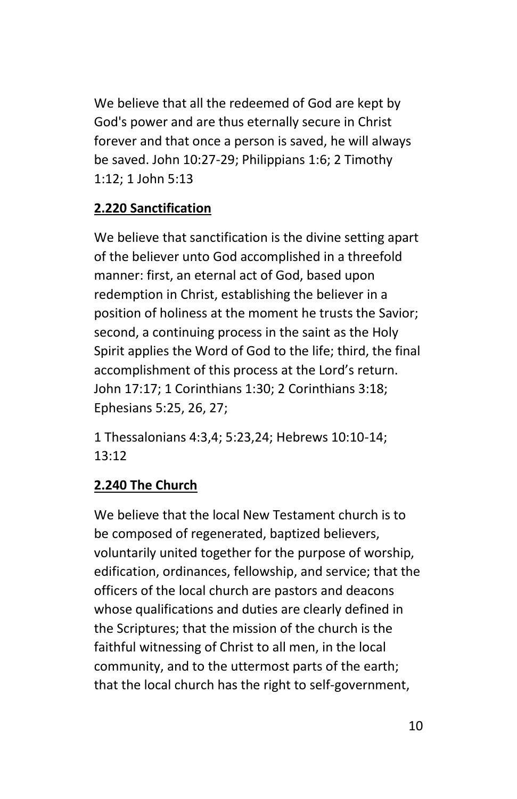We believe that all the redeemed of God are kept by God's power and are thus eternally secure in Christ forever and that once a person is saved, he will always be saved. John 10:27-29; Philippians 1:6; 2 Timothy 1:12; 1 John 5:13

# **2.220 Sanctification**

We believe that sanctification is the divine setting apart of the believer unto God accomplished in a threefold manner: first, an eternal act of God, based upon redemption in Christ, establishing the believer in a position of holiness at the moment he trusts the Savior; second, a continuing process in the saint as the Holy Spirit applies the Word of God to the life; third, the final accomplishment of this process at the Lord's return. John 17:17; 1 Corinthians 1:30; 2 Corinthians 3:18; Ephesians 5:25, 26, 27;

1 Thessalonians 4:3,4; 5:23,24; Hebrews 10:10-14; 13:12

### **2.240 The Church**

We believe that the local New Testament church is to be composed of regenerated, baptized believers, voluntarily united together for the purpose of worship, edification, ordinances, fellowship, and service; that the officers of the local church are pastors and deacons whose qualifications and duties are clearly defined in the Scriptures; that the mission of the church is the faithful witnessing of Christ to all men, in the local community, and to the uttermost parts of the earth; that the local church has the right to self-government,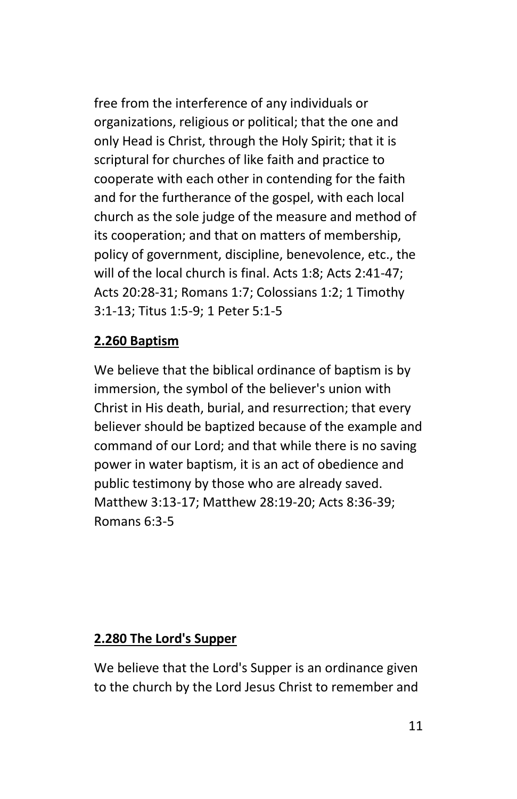free from the interference of any individuals or organizations, religious or political; that the one and only Head is Christ, through the Holy Spirit; that it is scriptural for churches of like faith and practice to cooperate with each other in contending for the faith and for the furtherance of the gospel, with each local church as the sole judge of the measure and method of its cooperation; and that on matters of membership, policy of government, discipline, benevolence, etc., the will of the local church is final. Acts 1:8; Acts 2:41-47; Acts 20:28-31; Romans 1:7; Colossians 1:2; 1 Timothy 3:1-13; Titus 1:5-9; 1 Peter 5:1-5

#### **2.260 Baptism**

We believe that the biblical ordinance of baptism is by immersion, the symbol of the believer's union with Christ in His death, burial, and resurrection; that every believer should be baptized because of the example and command of our Lord; and that while there is no saving power in water baptism, it is an act of obedience and public testimony by those who are already saved. Matthew 3:13-17; Matthew 28:19-20; Acts 8:36-39; Romans 6:3-5

#### **2.280 The Lord's Supper**

We believe that the Lord's Supper is an ordinance given to the church by the Lord Jesus Christ to remember and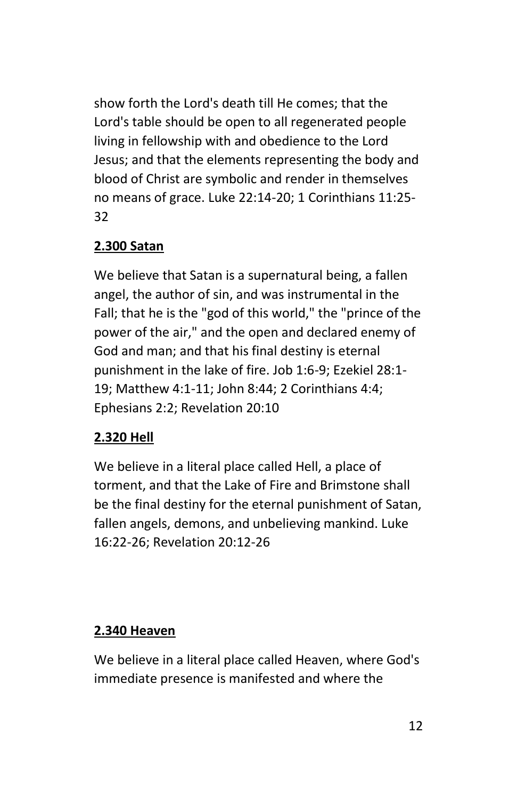show forth the Lord's death till He comes; that the Lord's table should be open to all regenerated people living in fellowship with and obedience to the Lord Jesus; and that the elements representing the body and blood of Christ are symbolic and render in themselves no means of grace. Luke 22:14-20; 1 Corinthians 11:25- 32

# **2.300 Satan**

We believe that Satan is a supernatural being, a fallen angel, the author of sin, and was instrumental in the Fall; that he is the "god of this world," the "prince of the power of the air," and the open and declared enemy of God and man; and that his final destiny is eternal punishment in the lake of fire. Job 1:6-9; Ezekiel 28:1- 19; Matthew 4:1-11; John 8:44; 2 Corinthians 4:4; Ephesians 2:2; Revelation 20:10

### **2.320 Hell**

We believe in a literal place called Hell, a place of torment, and that the Lake of Fire and Brimstone shall be the final destiny for the eternal punishment of Satan, fallen angels, demons, and unbelieving mankind. Luke 16:22-26; Revelation 20:12-26

#### **2.340 Heaven**

We believe in a literal place called Heaven, where God's immediate presence is manifested and where the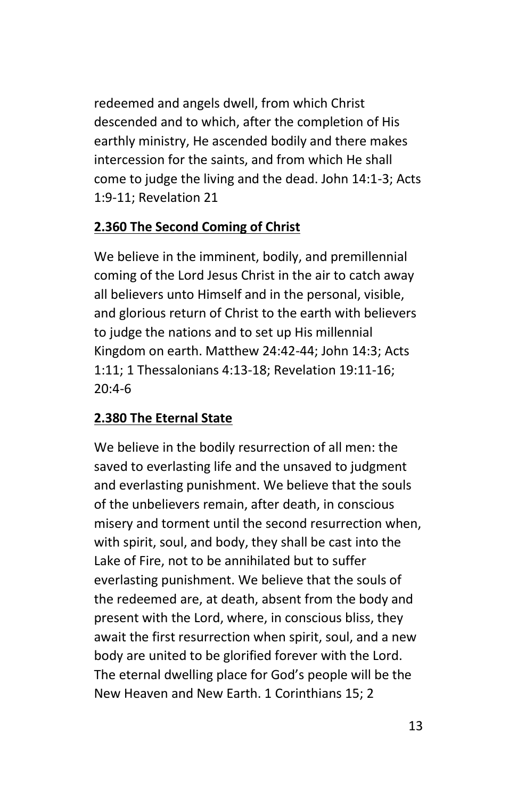redeemed and angels dwell, from which Christ descended and to which, after the completion of His earthly ministry, He ascended bodily and there makes intercession for the saints, and from which He shall come to judge the living and the dead. John 14:1-3; Acts 1:9-11; Revelation 21

#### **2.360 The Second Coming of Christ**

We believe in the imminent, bodily, and premillennial coming of the Lord Jesus Christ in the air to catch away all believers unto Himself and in the personal, visible, and glorious return of Christ to the earth with believers to judge the nations and to set up His millennial Kingdom on earth. Matthew 24:42-44; John 14:3; Acts 1:11; 1 Thessalonians 4:13-18; Revelation 19:11-16; 20:4-6

#### **2.380 The Eternal State**

We believe in the bodily resurrection of all men: the saved to everlasting life and the unsaved to judgment and everlasting punishment. We believe that the souls of the unbelievers remain, after death, in conscious misery and torment until the second resurrection when, with spirit, soul, and body, they shall be cast into the Lake of Fire, not to be annihilated but to suffer everlasting punishment. We believe that the souls of the redeemed are, at death, absent from the body and present with the Lord, where, in conscious bliss, they await the first resurrection when spirit, soul, and a new body are united to be glorified forever with the Lord. The eternal dwelling place for God's people will be the New Heaven and New Earth. 1 Corinthians 15; 2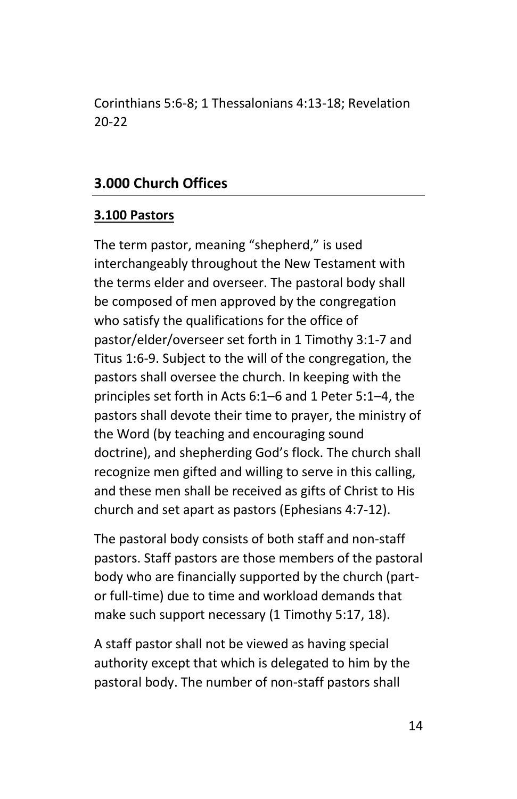Corinthians 5:6-8; 1 Thessalonians 4:13-18; Revelation 20-22

#### **3.000 Church Offices**

#### **3.100 Pastors**

The term pastor, meaning "shepherd," is used interchangeably throughout the New Testament with the terms elder and overseer. The pastoral body shall be composed of men approved by the congregation who satisfy the qualifications for the office of pastor/elder/overseer set forth in 1 Timothy 3:1-7 and Titus 1:6-9. Subject to the will of the congregation, the pastors shall oversee the church. In keeping with the principles set forth in Acts 6:1–6 and 1 Peter 5:1–4, the pastors shall devote their time to prayer, the ministry of the Word (by teaching and encouraging sound doctrine), and shepherding God's flock. The church shall recognize men gifted and willing to serve in this calling, and these men shall be received as gifts of Christ to His church and set apart as pastors (Ephesians 4:7-12).

The pastoral body consists of both staff and non-staff pastors. Staff pastors are those members of the pastoral body who are financially supported by the church (partor full-time) due to time and workload demands that make such support necessary (1 Timothy 5:17, 18).

A staff pastor shall not be viewed as having special authority except that which is delegated to him by the pastoral body. The number of non-staff pastors shall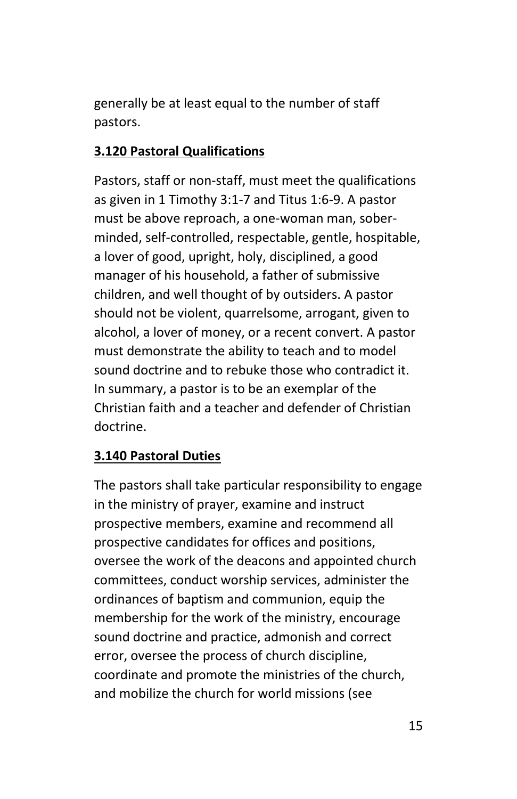generally be at least equal to the number of staff pastors.

#### **3.120 Pastoral Qualifications**

Pastors, staff or non-staff, must meet the qualifications as given in 1 Timothy 3:1-7 and Titus 1:6-9. A pastor must be above reproach, a one-woman man, soberminded, self-controlled, respectable, gentle, hospitable, a lover of good, upright, holy, disciplined, a good manager of his household, a father of submissive children, and well thought of by outsiders. A pastor should not be violent, quarrelsome, arrogant, given to alcohol, a lover of money, or a recent convert. A pastor must demonstrate the ability to teach and to model sound doctrine and to rebuke those who contradict it. In summary, a pastor is to be an exemplar of the Christian faith and a teacher and defender of Christian doctrine.

### **3.140 Pastoral Duties**

The pastors shall take particular responsibility to engage in the ministry of prayer, examine and instruct prospective members, examine and recommend all prospective candidates for offices and positions, oversee the work of the deacons and appointed church committees, conduct worship services, administer the ordinances of baptism and communion, equip the membership for the work of the ministry, encourage sound doctrine and practice, admonish and correct error, oversee the process of church discipline, coordinate and promote the ministries of the church, and mobilize the church for world missions (see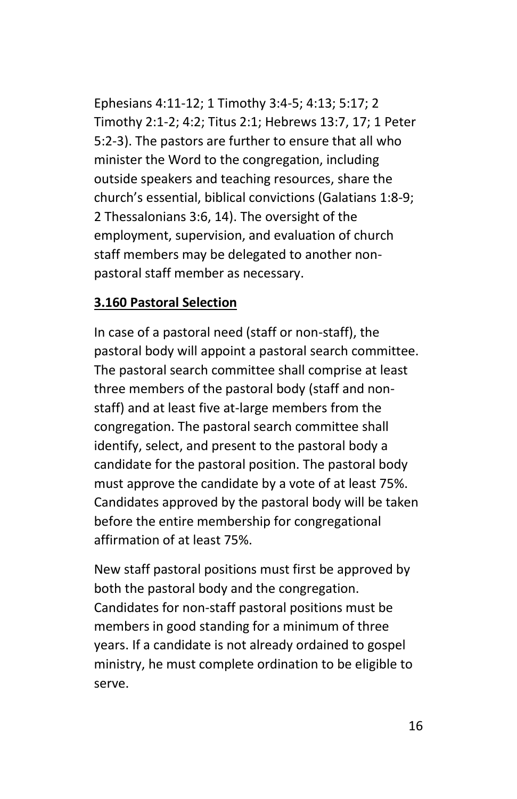Ephesians 4:11-12; 1 Timothy 3:4-5; 4:13; 5:17; 2 Timothy 2:1-2; 4:2; Titus 2:1; Hebrews 13:7, 17; 1 Peter 5:2-3). The pastors are further to ensure that all who minister the Word to the congregation, including outside speakers and teaching resources, share the church's essential, biblical convictions (Galatians 1:8-9; 2 Thessalonians 3:6, 14). The oversight of the employment, supervision, and evaluation of church staff members may be delegated to another nonpastoral staff member as necessary.

#### **3.160 Pastoral Selection**

In case of a pastoral need (staff or non-staff), the pastoral body will appoint a pastoral search committee. The pastoral search committee shall comprise at least three members of the pastoral body (staff and nonstaff) and at least five at-large members from the congregation. The pastoral search committee shall identify, select, and present to the pastoral body a candidate for the pastoral position. The pastoral body must approve the candidate by a vote of at least 75%. Candidates approved by the pastoral body will be taken before the entire membership for congregational affirmation of at least 75%.

New staff pastoral positions must first be approved by both the pastoral body and the congregation. Candidates for non-staff pastoral positions must be members in good standing for a minimum of three years. If a candidate is not already ordained to gospel ministry, he must complete ordination to be eligible to serve.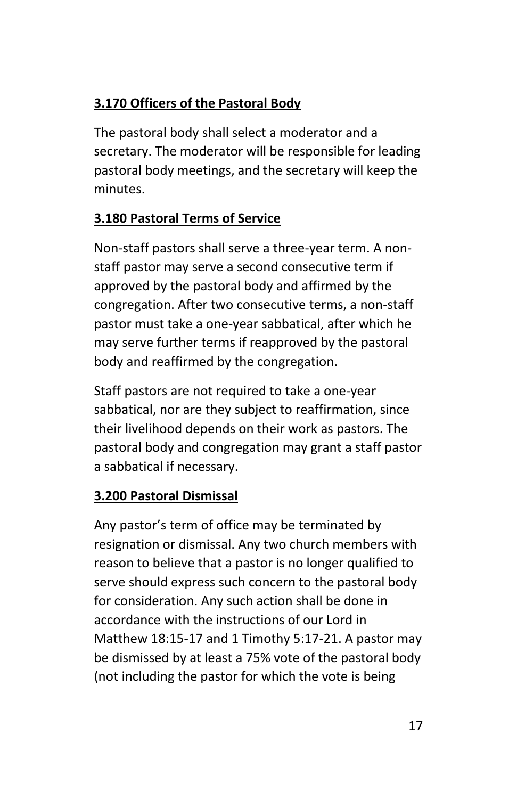# **3.170 Officers of the Pastoral Body**

The pastoral body shall select a moderator and a secretary. The moderator will be responsible for leading pastoral body meetings, and the secretary will keep the minutes.

# **3.180 Pastoral Terms of Service**

Non-staff pastors shall serve a three-year term. A nonstaff pastor may serve a second consecutive term if approved by the pastoral body and affirmed by the congregation. After two consecutive terms, a non-staff pastor must take a one-year sabbatical, after which he may serve further terms if reapproved by the pastoral body and reaffirmed by the congregation.

Staff pastors are not required to take a one-year sabbatical, nor are they subject to reaffirmation, since their livelihood depends on their work as pastors. The pastoral body and congregation may grant a staff pastor a sabbatical if necessary.

# **3.200 Pastoral Dismissal**

Any pastor's term of office may be terminated by resignation or dismissal. Any two church members with reason to believe that a pastor is no longer qualified to serve should express such concern to the pastoral body for consideration. Any such action shall be done in accordance with the instructions of our Lord in Matthew 18:15-17 and 1 Timothy 5:17-21. A pastor may be dismissed by at least a 75% vote of the pastoral body (not including the pastor for which the vote is being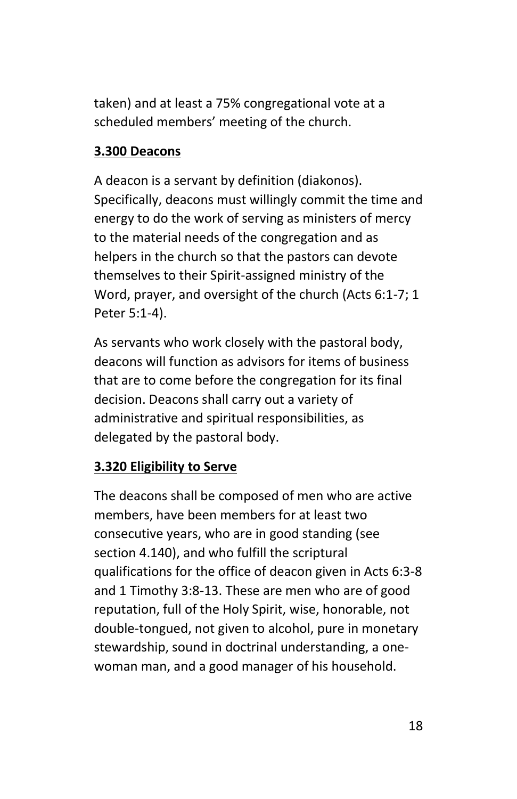taken) and at least a 75% congregational vote at a scheduled members' meeting of the church.

#### **3.300 Deacons**

A deacon is a servant by definition (diakonos). Specifically, deacons must willingly commit the time and energy to do the work of serving as ministers of mercy to the material needs of the congregation and as helpers in the church so that the pastors can devote themselves to their Spirit-assigned ministry of the Word, prayer, and oversight of the church (Acts 6:1-7; 1 Peter 5:1-4).

As servants who work closely with the pastoral body, deacons will function as advisors for items of business that are to come before the congregation for its final decision. Deacons shall carry out a variety of administrative and spiritual responsibilities, as delegated by the pastoral body.

#### **3.320 Eligibility to Serve**

The deacons shall be composed of men who are active members, have been members for at least two consecutive years, who are in good standing (see section 4.140), and who fulfill the scriptural qualifications for the office of deacon given in Acts 6:3-8 and 1 Timothy 3:8-13. These are men who are of good reputation, full of the Holy Spirit, wise, honorable, not double-tongued, not given to alcohol, pure in monetary stewardship, sound in doctrinal understanding, a onewoman man, and a good manager of his household.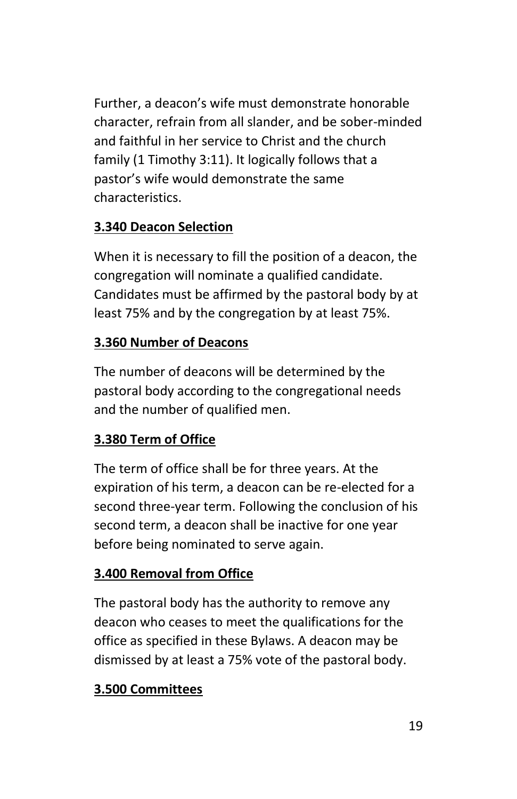Further, a deacon's wife must demonstrate honorable character, refrain from all slander, and be sober-minded and faithful in her service to Christ and the church family (1 Timothy 3:11). It logically follows that a pastor's wife would demonstrate the same characteristics.

# **3.340 Deacon Selection**

When it is necessary to fill the position of a deacon, the congregation will nominate a qualified candidate. Candidates must be affirmed by the pastoral body by at least 75% and by the congregation by at least 75%.

### **3.360 Number of Deacons**

The number of deacons will be determined by the pastoral body according to the congregational needs and the number of qualified men.

# **3.380 Term of Office**

The term of office shall be for three years. At the expiration of his term, a deacon can be re-elected for a second three-year term. Following the conclusion of his second term, a deacon shall be inactive for one year before being nominated to serve again.

# **3.400 Removal from Office**

The pastoral body has the authority to remove any deacon who ceases to meet the qualifications for the office as specified in these Bylaws. A deacon may be dismissed by at least a 75% vote of the pastoral body.

# **3.500 Committees**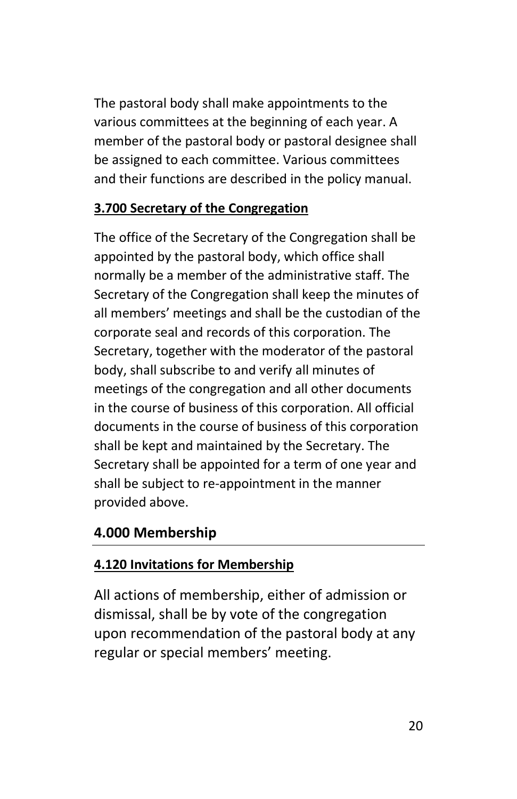The pastoral body shall make appointments to the various committees at the beginning of each year. A member of the pastoral body or pastoral designee shall be assigned to each committee. Various committees and their functions are described in the policy manual.

### **3.700 Secretary of the Congregation**

The office of the Secretary of the Congregation shall be appointed by the pastoral body, which office shall normally be a member of the administrative staff. The Secretary of the Congregation shall keep the minutes of all members' meetings and shall be the custodian of the corporate seal and records of this corporation. The Secretary, together with the moderator of the pastoral body, shall subscribe to and verify all minutes of meetings of the congregation and all other documents in the course of business of this corporation. All official documents in the course of business of this corporation shall be kept and maintained by the Secretary. The Secretary shall be appointed for a term of one year and shall be subject to re-appointment in the manner provided above.

### **4.000 Membership**

### **4.120 Invitations for Membership**

All actions of membership, either of admission or dismissal, shall be by vote of the congregation upon recommendation of the pastoral body at any regular or special members' meeting.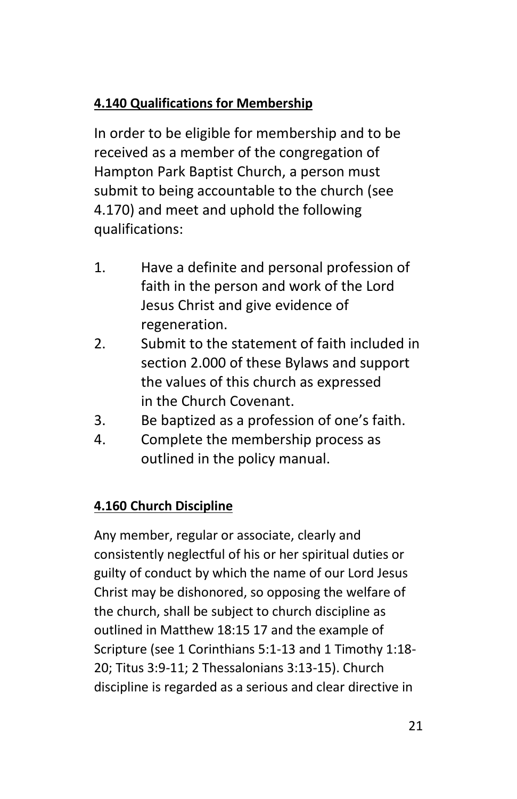# **4.140 Qualifications for Membership**

In order to be eligible for membership and to be received as a member of the congregation of Hampton Park Baptist Church, a person must submit to being accountable to the church (see 4.170) and meet and uphold the following qualifications:

- 1. Have a definite and personal profession of faith in the person and work of the Lord Jesus Christ and give evidence of regeneration.
- 2. Submit to the statement of faith included in section 2.000 of these Bylaws and support the values of this church as expressed in the Church Covenant.
- 3. Be baptized as a profession of one's faith.
- 4. Complete the membership process as outlined in the policy manual.

# **4.160 Church Discipline**

Any member, regular or associate, clearly and consistently neglectful of his or her spiritual duties or guilty of conduct by which the name of our Lord Jesus Christ may be dishonored, so opposing the welfare of the church, shall be subject to church discipline as outlined in Matthew 18:15 17 and the example of Scripture (see 1 Corinthians 5:1-13 and 1 Timothy 1:18- 20; Titus 3:9-11; 2 Thessalonians 3:13-15). Church discipline is regarded as a serious and clear directive in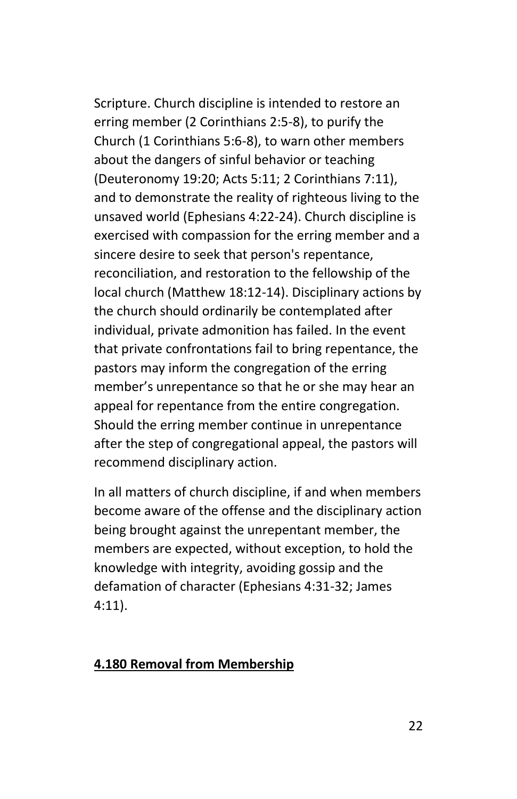Scripture. Church discipline is intended to restore an erring member (2 Corinthians 2:5-8), to purify the Church (1 Corinthians 5:6-8), to warn other members about the dangers of sinful behavior or teaching (Deuteronomy 19:20; Acts 5:11; 2 Corinthians 7:11), and to demonstrate the reality of righteous living to the unsaved world (Ephesians 4:22-24). Church discipline is exercised with compassion for the erring member and a sincere desire to seek that person's repentance, reconciliation, and restoration to the fellowship of the local church (Matthew 18:12-14). Disciplinary actions by the church should ordinarily be contemplated after individual, private admonition has failed. In the event that private confrontations fail to bring repentance, the pastors may inform the congregation of the erring member's unrepentance so that he or she may hear an appeal for repentance from the entire congregation. Should the erring member continue in unrepentance after the step of congregational appeal, the pastors will recommend disciplinary action.

In all matters of church discipline, if and when members become aware of the offense and the disciplinary action being brought against the unrepentant member, the members are expected, without exception, to hold the knowledge with integrity, avoiding gossip and the defamation of character (Ephesians 4:31-32; James 4:11).

#### **4.180 Removal from Membership**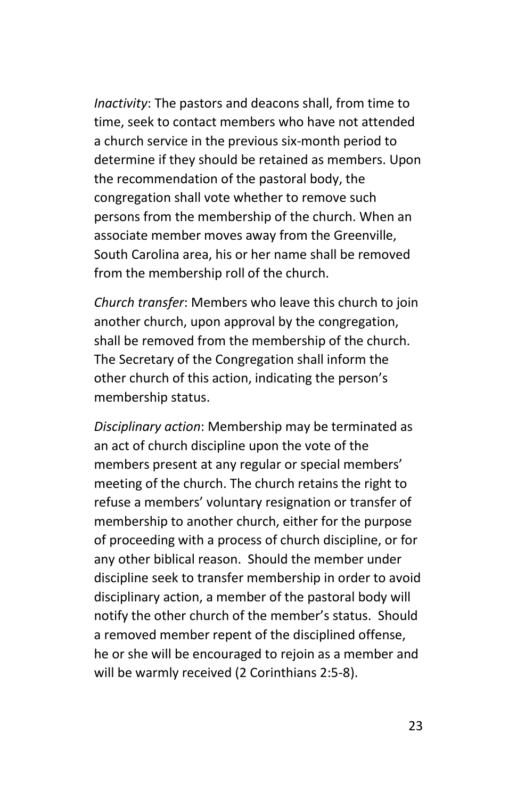*Inactivity*: The pastors and deacons shall, from time to time, seek to contact members who have not attended a church service in the previous six-month period to determine if they should be retained as members. Upon the recommendation of the pastoral body, the congregation shall vote whether to remove such persons from the membership of the church. When an associate member moves away from the Greenville, South Carolina area, his or her name shall be removed from the membership roll of the church.

*Church transfer*: Members who leave this church to join another church, upon approval by the congregation, shall be removed from the membership of the church. The Secretary of the Congregation shall inform the other church of this action, indicating the person's membership status.

*Disciplinary action*: Membership may be terminated as an act of church discipline upon the vote of the members present at any regular or special members' meeting of the church. The church retains the right to refuse a members' voluntary resignation or transfer of membership to another church, either for the purpose of proceeding with a process of church discipline, or for any other biblical reason. Should the member under discipline seek to transfer membership in order to avoid disciplinary action, a member of the pastoral body will notify the other church of the member's status. Should a removed member repent of the disciplined offense, he or she will be encouraged to rejoin as a member and will be warmly received (2 Corinthians 2:5-8).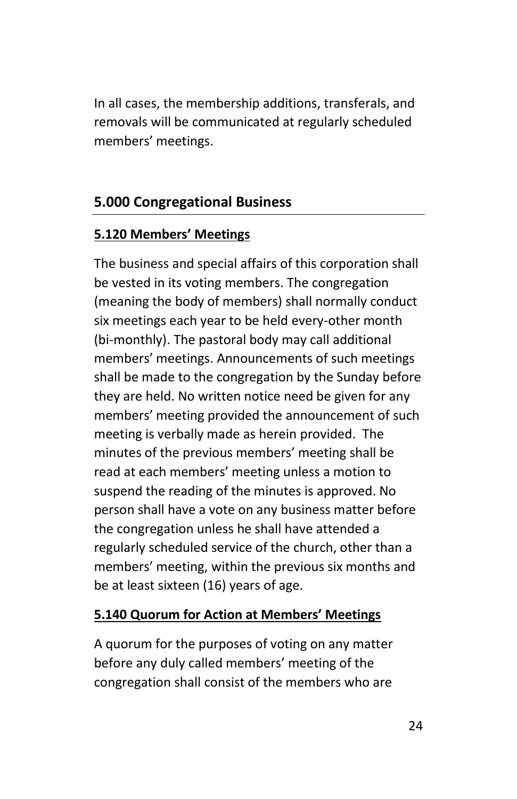In all cases, the membership additions, transferals, and removals will be communicated at regularly scheduled members' meetings.

# **5.000 Congregational Business**

### **5.120 Members' Meetings**

The business and special affairs of this corporation shall be vested in its voting members. The congregation (meaning the body of members) shall normally conduct six meetings each year to be held every-other month (bi-monthly). The pastoral body may call additional members' meetings. Announcements of such meetings shall be made to the congregation by the Sunday before they are held. No written notice need be given for any members' meeting provided the announcement of such meeting is verbally made as herein provided. The minutes of the previous members' meeting shall be read at each members' meeting unless a motion to suspend the reading of the minutes is approved. No person shall have a vote on any business matter before the congregation unless he shall have attended a regularly scheduled service of the church, other than a members' meeting, within the previous six months and be at least sixteen (16) years of age.

### **5.140 Quorum for Action at Members' Meetings**

A quorum for the purposes of voting on any matter before any duly called members' meeting of the congregation shall consist of the members who are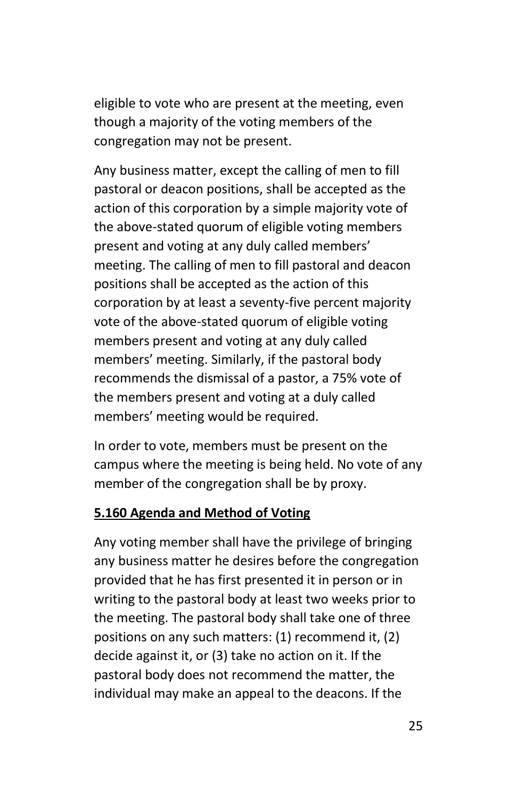eligible to vote who are present at the meeting, even though a majority of the voting members of the congregation may not be present.

Any business matter, except the calling of men to fill pastoral or deacon positions, shall be accepted as the action of this corporation by a simple majority vote of the above-stated quorum of eligible voting members present and voting at any duly called members' meeting. The calling of men to fill pastoral and deacon positions shall be accepted as the action of this corporation by at least a seventy-five percent majority vote of the above-stated quorum of eligible voting members present and voting at any duly called members' meeting. Similarly, if the pastoral body recommends the dismissal of a pastor, a 75% vote of the members present and voting at a duly called members' meeting would be required.

In order to vote, members must be present on the campus where the meeting is being held. No vote of any member of the congregation shall be by proxy.

#### **5.160 Agenda and Method of Voting**

Any voting member shall have the privilege of bringing any business matter he desires before the congregation provided that he has first presented it in person or in writing to the pastoral body at least two weeks prior to the meeting. The pastoral body shall take one of three positions on any such matters: (1) recommend it, (2) decide against it, or (3) take no action on it. If the pastoral body does not recommend the matter, the individual may make an appeal to the deacons. If the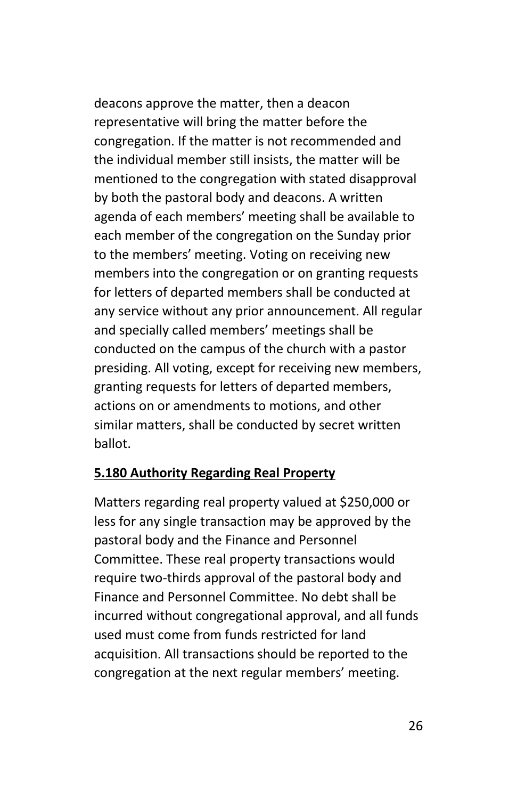deacons approve the matter, then a deacon representative will bring the matter before the congregation. If the matter is not recommended and the individual member still insists, the matter will be mentioned to the congregation with stated disapproval by both the pastoral body and deacons. A written agenda of each members' meeting shall be available to each member of the congregation on the Sunday prior to the members' meeting. Voting on receiving new members into the congregation or on granting requests for letters of departed members shall be conducted at any service without any prior announcement. All regular and specially called members' meetings shall be conducted on the campus of the church with a pastor presiding. All voting, except for receiving new members, granting requests for letters of departed members, actions on or amendments to motions, and other similar matters, shall be conducted by secret written ballot.

#### **5.180 Authority Regarding Real Property**

Matters regarding real property valued at \$250,000 or less for any single transaction may be approved by the pastoral body and the Finance and Personnel Committee. These real property transactions would require two-thirds approval of the pastoral body and Finance and Personnel Committee. No debt shall be incurred without congregational approval, and all funds used must come from funds restricted for land acquisition. All transactions should be reported to the congregation at the next regular members' meeting.